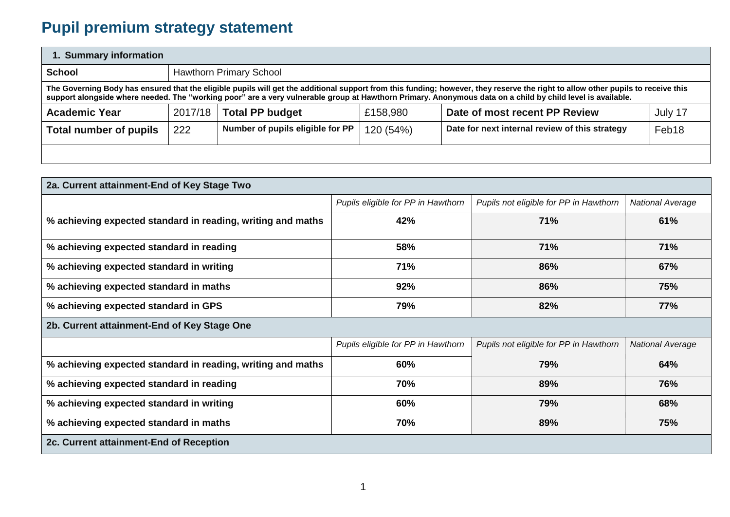## **Pupil premium strategy statement**

| 1. Summary information                                                                                                                                                                                                                                                                                                                         |         |                                                                                |           |                                                |                   |  |  |  |  |
|------------------------------------------------------------------------------------------------------------------------------------------------------------------------------------------------------------------------------------------------------------------------------------------------------------------------------------------------|---------|--------------------------------------------------------------------------------|-----------|------------------------------------------------|-------------------|--|--|--|--|
| <b>School</b>                                                                                                                                                                                                                                                                                                                                  |         | <b>Hawthorn Primary School</b>                                                 |           |                                                |                   |  |  |  |  |
| The Governing Body has ensured that the eligible pupils will get the additional support from this funding; however, they reserve the right to allow other pupils to receive this<br>support alongside where needed. The "working poor" are a very vulnerable group at Hawthorn Primary. Anonymous data on a child by child level is available. |         |                                                                                |           |                                                |                   |  |  |  |  |
| <b>Academic Year</b>                                                                                                                                                                                                                                                                                                                           | 2017/18 | <b>Total PP budget</b><br>Date of most recent PP Review<br>£158,980<br>July 17 |           |                                                |                   |  |  |  |  |
| <b>Total number of pupils</b>                                                                                                                                                                                                                                                                                                                  | 222     | Number of pupils eligible for PP                                               | 120 (54%) | Date for next internal review of this strategy | Feb <sub>18</sub> |  |  |  |  |
|                                                                                                                                                                                                                                                                                                                                                |         |                                                                                |           |                                                |                   |  |  |  |  |

| 2a. Current attainment-End of Key Stage Two                 |                                    |                                        |                         |  |  |  |
|-------------------------------------------------------------|------------------------------------|----------------------------------------|-------------------------|--|--|--|
|                                                             | Pupils eligible for PP in Hawthorn | Pupils not eligible for PP in Hawthorn | <b>National Average</b> |  |  |  |
| % achieving expected standard in reading, writing and maths | 42%                                | 71%                                    | 61%                     |  |  |  |
| % achieving expected standard in reading                    | 58%                                | 71%                                    | 71%                     |  |  |  |
| % achieving expected standard in writing                    | 71%                                | 86%                                    | 67%                     |  |  |  |
| % achieving expected standard in maths                      | 92%                                | 86%                                    | 75%                     |  |  |  |
| % achieving expected standard in GPS                        | 79%                                | 82%                                    | 77%                     |  |  |  |
| 2b. Current attainment-End of Key Stage One                 |                                    |                                        |                         |  |  |  |
|                                                             | Pupils eligible for PP in Hawthorn | Pupils not eligible for PP in Hawthorn | <b>National Average</b> |  |  |  |
| % achieving expected standard in reading, writing and maths | 60%                                | 79%                                    | 64%                     |  |  |  |
| % achieving expected standard in reading                    | 70%                                | 89%                                    | 76%                     |  |  |  |
| % achieving expected standard in writing                    | 60%                                | 79%                                    | 68%                     |  |  |  |
| % achieving expected standard in maths                      | 70%                                | 89%                                    | 75%                     |  |  |  |
| 2c. Current attainment-End of Reception                     |                                    |                                        |                         |  |  |  |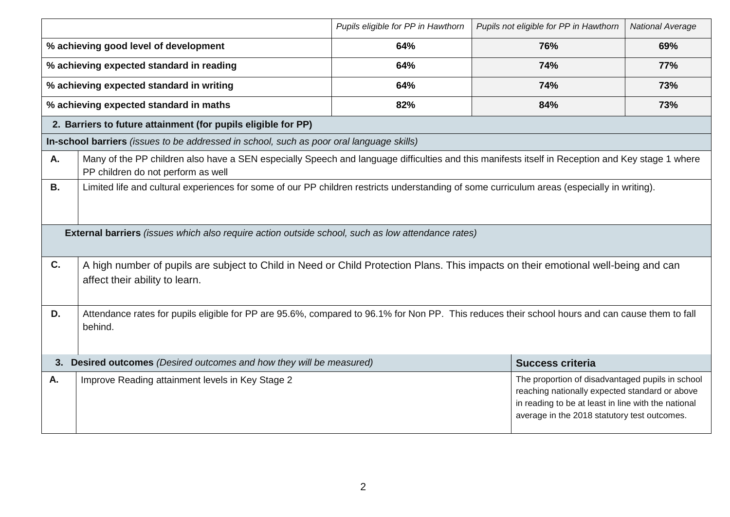|           |                                                                                                                                                                                        | Pupils eligible for PP in Hawthorn | Pupils not eligible for PP in Hawthorn                                                                                                                                                                    | <b>National Average</b> |  |  |  |
|-----------|----------------------------------------------------------------------------------------------------------------------------------------------------------------------------------------|------------------------------------|-----------------------------------------------------------------------------------------------------------------------------------------------------------------------------------------------------------|-------------------------|--|--|--|
|           | % achieving good level of development                                                                                                                                                  | 64%                                | 76%                                                                                                                                                                                                       | 69%                     |  |  |  |
|           | % achieving expected standard in reading                                                                                                                                               | 64%                                | 74%                                                                                                                                                                                                       | <b>77%</b>              |  |  |  |
|           | % achieving expected standard in writing                                                                                                                                               | 64%                                | 74%                                                                                                                                                                                                       | 73%                     |  |  |  |
|           | % achieving expected standard in maths                                                                                                                                                 | 82%                                | 84%                                                                                                                                                                                                       | 73%                     |  |  |  |
|           | 2. Barriers to future attainment (for pupils eligible for PP)                                                                                                                          |                                    |                                                                                                                                                                                                           |                         |  |  |  |
|           | In-school barriers (issues to be addressed in school, such as poor oral language skills)                                                                                               |                                    |                                                                                                                                                                                                           |                         |  |  |  |
| A.        | Many of the PP children also have a SEN especially Speech and language difficulties and this manifests itself in Reception and Key stage 1 where<br>PP children do not perform as well |                                    |                                                                                                                                                                                                           |                         |  |  |  |
| <b>B.</b> | Limited life and cultural experiences for some of our PP children restricts understanding of some curriculum areas (especially in writing).                                            |                                    |                                                                                                                                                                                                           |                         |  |  |  |
|           | External barriers (issues which also require action outside school, such as low attendance rates)                                                                                      |                                    |                                                                                                                                                                                                           |                         |  |  |  |
| C.        | A high number of pupils are subject to Child in Need or Child Protection Plans. This impacts on their emotional well-being and can<br>affect their ability to learn.                   |                                    |                                                                                                                                                                                                           |                         |  |  |  |
| D.        | Attendance rates for pupils eligible for PP are 95.6%, compared to 96.1% for Non PP. This reduces their school hours and can cause them to fall<br>behind.                             |                                    |                                                                                                                                                                                                           |                         |  |  |  |
|           | 3. Desired outcomes (Desired outcomes and how they will be measured)                                                                                                                   |                                    | <b>Success criteria</b>                                                                                                                                                                                   |                         |  |  |  |
| А.        | Improve Reading attainment levels in Key Stage 2                                                                                                                                       |                                    | The proportion of disadvantaged pupils in school<br>reaching nationally expected standard or above<br>in reading to be at least in line with the national<br>average in the 2018 statutory test outcomes. |                         |  |  |  |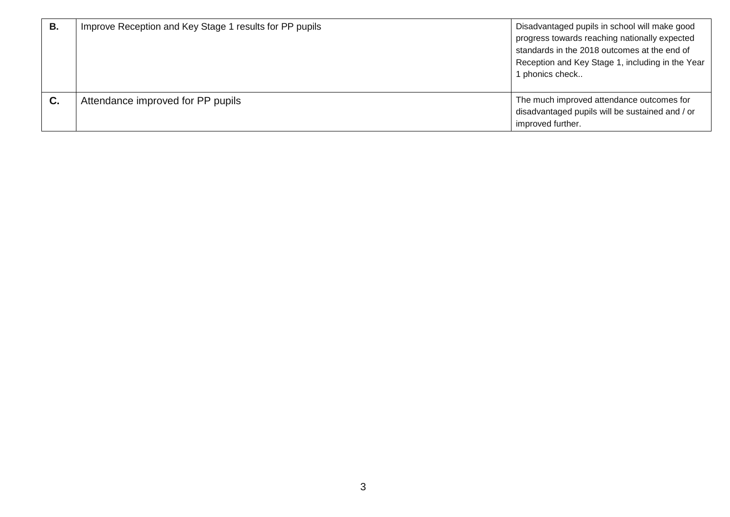| В. | Improve Reception and Key Stage 1 results for PP pupils | Disadvantaged pupils in school will make good<br>progress towards reaching nationally expected<br>standards in the 2018 outcomes at the end of<br>Reception and Key Stage 1, including in the Year<br>1 phonics check |
|----|---------------------------------------------------------|-----------------------------------------------------------------------------------------------------------------------------------------------------------------------------------------------------------------------|
| С. | Attendance improved for PP pupils                       | The much improved attendance outcomes for<br>disadvantaged pupils will be sustained and / or<br>improved further.                                                                                                     |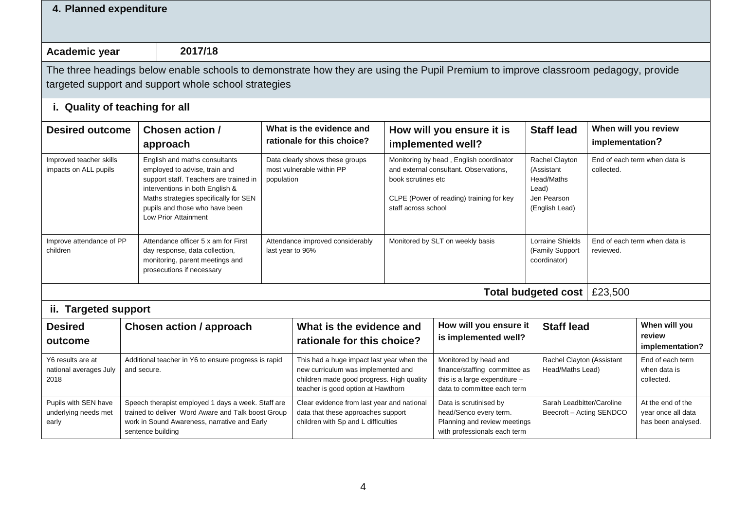| 4. Planned expenditure                                                                                                                                                        |                                                                     |                                                                                                                                                                                                                                                |                                                                                                                                                                    |                                                                                                                         |                                                                                                                          |                                                                                                                               |                                                                                      |                                                |                                                               |
|-------------------------------------------------------------------------------------------------------------------------------------------------------------------------------|---------------------------------------------------------------------|------------------------------------------------------------------------------------------------------------------------------------------------------------------------------------------------------------------------------------------------|--------------------------------------------------------------------------------------------------------------------------------------------------------------------|-------------------------------------------------------------------------------------------------------------------------|--------------------------------------------------------------------------------------------------------------------------|-------------------------------------------------------------------------------------------------------------------------------|--------------------------------------------------------------------------------------|------------------------------------------------|---------------------------------------------------------------|
| Academic year                                                                                                                                                                 |                                                                     | 2017/18                                                                                                                                                                                                                                        |                                                                                                                                                                    |                                                                                                                         |                                                                                                                          |                                                                                                                               |                                                                                      |                                                |                                                               |
|                                                                                                                                                                               |                                                                     | The three headings below enable schools to demonstrate how they are using the Pupil Premium to improve classroom pedagogy, provide<br>targeted support and support whole school strategies                                                     |                                                                                                                                                                    |                                                                                                                         |                                                                                                                          |                                                                                                                               |                                                                                      |                                                |                                                               |
| i. Quality of teaching for all                                                                                                                                                |                                                                     |                                                                                                                                                                                                                                                |                                                                                                                                                                    |                                                                                                                         |                                                                                                                          |                                                                                                                               |                                                                                      |                                                |                                                               |
| <b>Desired outcome</b>                                                                                                                                                        |                                                                     | Chosen action /<br>approach                                                                                                                                                                                                                    |                                                                                                                                                                    | What is the evidence and<br>rationale for this choice?                                                                  |                                                                                                                          | How will you ensure it is<br>implemented well?                                                                                | <b>Staff lead</b>                                                                    | implementation?                                | When will you review                                          |
| Improved teacher skills<br>impacts on ALL pupils                                                                                                                              |                                                                     | English and maths consultants<br>employed to advise, train and<br>support staff. Teachers are trained in<br>interventions in both English &<br>Maths strategies specifically for SEN<br>pupils and those who have been<br>Low Prior Attainment | population                                                                                                                                                         | Data clearly shows these groups<br>most vulnerable within PP                                                            | book scrutines etc<br>staff across school                                                                                | Monitoring by head, English coordinator<br>and external consultant. Observations,<br>CLPE (Power of reading) training for key | Rachel Clayton<br>(Assistant<br>Head/Maths<br>Lead)<br>Jen Pearson<br>(English Lead) | collected.                                     | End of each term when data is                                 |
| Improve attendance of PP<br>Attendance officer 5 x am for First<br>children<br>day response, data collection,<br>monitoring, parent meetings and<br>prosecutions if necessary |                                                                     | Attendance improved considerably<br>last year to 96%                                                                                                                                                                                           |                                                                                                                                                                    |                                                                                                                         | Monitored by SLT on weekly basis                                                                                         | Lorraine Shields<br>(Family Support<br>coordinator)                                                                           | reviewed.                                                                            | End of each term when data is                  |                                                               |
|                                                                                                                                                                               |                                                                     |                                                                                                                                                                                                                                                |                                                                                                                                                                    |                                                                                                                         |                                                                                                                          |                                                                                                                               | <b>Total budgeted cost</b>                                                           | £23,500                                        |                                                               |
| ii. Targeted support<br><b>Desired</b><br>outcome                                                                                                                             |                                                                     | <b>Chosen action / approach</b>                                                                                                                                                                                                                |                                                                                                                                                                    | What is the evidence and<br>rationale for this choice?                                                                  |                                                                                                                          | How will you ensure it<br>is implemented well?                                                                                | <b>Staff lead</b>                                                                    |                                                | When will you<br>review<br>implementation?                    |
| Y6 results are at<br>national averages July<br>2018                                                                                                                           | Additional teacher in Y6 to ensure progress is rapid<br>and secure. |                                                                                                                                                                                                                                                | This had a huge impact last year when the<br>new curriculum was implemented and<br>children made good progress. High quality<br>teacher is good option at Hawthorn |                                                                                                                         | Monitored by head and<br>finance/staffing committee as<br>this is a large expenditure $-$<br>data to committee each term | Rachel Clayton (Assistant<br>Head/Maths Lead)                                                                                 |                                                                                      | End of each term<br>when data is<br>collected. |                                                               |
| Pupils with SEN have<br>underlying needs met<br>early                                                                                                                         |                                                                     | Speech therapist employed 1 days a week. Staff are<br>trained to deliver Word Aware and Talk boost Group<br>work in Sound Awareness, narrative and Early<br>sentence building                                                                  |                                                                                                                                                                    | Clear evidence from last year and national<br>data that these approaches support<br>children with Sp and L difficulties |                                                                                                                          | Data is scrutinised by<br>head/Senco every term.<br>Planning and review meetings<br>with professionals each term              | Sarah Leadbitter/Caroline<br>Beecroft - Acting SENDCO                                |                                                | At the end of the<br>year once all data<br>has been analysed. |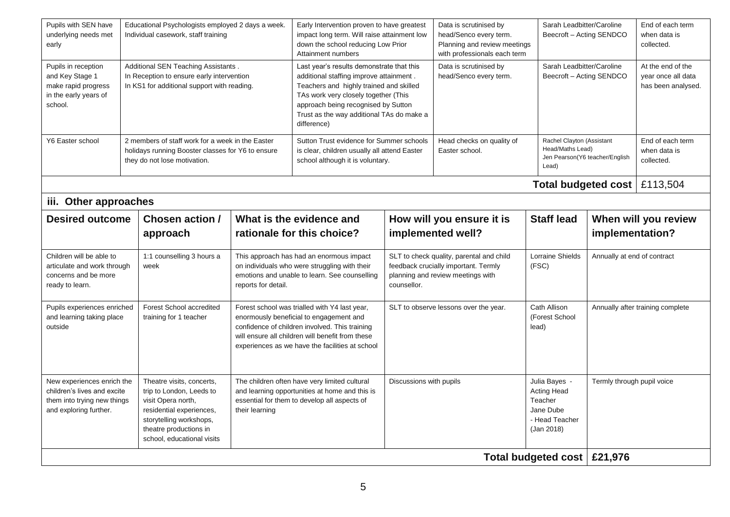| Pupils with SEN have<br>underlying needs met<br>early                                                              | Educational Psychologists employed 2 days a week.<br>Individual casework, staff training                                        |                                                                                                                                                                                            | Early Intervention proven to have greatest<br>impact long term. Will raise attainment low<br>down the school reducing Low Prior<br>Attainment numbers                                                                                                                      |                                                                                                                                                                                                                                                   | Data is scrutinised by<br>head/Senco every term.<br>Planning and review meetings<br>with professionals each term | Sarah Leadbitter/Caroline<br>Beecroft - Acting SENDCO                                                                 |                                                                                             | End of each term<br>when data is<br>collected.                |                                                |
|--------------------------------------------------------------------------------------------------------------------|---------------------------------------------------------------------------------------------------------------------------------|--------------------------------------------------------------------------------------------------------------------------------------------------------------------------------------------|----------------------------------------------------------------------------------------------------------------------------------------------------------------------------------------------------------------------------------------------------------------------------|---------------------------------------------------------------------------------------------------------------------------------------------------------------------------------------------------------------------------------------------------|------------------------------------------------------------------------------------------------------------------|-----------------------------------------------------------------------------------------------------------------------|---------------------------------------------------------------------------------------------|---------------------------------------------------------------|------------------------------------------------|
| Pupils in reception<br>and Key Stage 1<br>make rapid progress<br>in the early years of<br>school.                  | Additional SEN Teaching Assistants.<br>In Reception to ensure early intervention<br>In KS1 for additional support with reading. |                                                                                                                                                                                            | Last year's results demonstrate that this<br>additional staffing improve attainment.<br>Teachers and highly trained and skilled<br>TAs work very closely together (This<br>approach being recognised by Sutton<br>Trust as the way additional TAs do make a<br>difference) |                                                                                                                                                                                                                                                   | Data is scrutinised by<br>head/Senco every term.                                                                 | Sarah Leadbitter/Caroline<br>Beecroft - Acting SENDCO                                                                 |                                                                                             | At the end of the<br>year once all data<br>has been analysed. |                                                |
| Y6 Easter school                                                                                                   |                                                                                                                                 | 2 members of staff work for a week in the Easter<br>holidays running Booster classes for Y6 to ensure<br>they do not lose motivation.                                                      |                                                                                                                                                                                                                                                                            | Sutton Trust evidence for Summer schools<br>is clear, children usually all attend Easter<br>school although it is voluntary.                                                                                                                      |                                                                                                                  | Head checks on quality of<br>Easter school.                                                                           | Rachel Clayton (Assistant<br>Head/Maths Lead)<br>Lead)                                      | Jen Pearson(Y6 teacher/English                                | End of each term<br>when data is<br>collected. |
|                                                                                                                    | <b>Total budgeted cost</b>                                                                                                      |                                                                                                                                                                                            |                                                                                                                                                                                                                                                                            |                                                                                                                                                                                                                                                   |                                                                                                                  | £113,504                                                                                                              |                                                                                             |                                                               |                                                |
| iii. Other approaches                                                                                              |                                                                                                                                 |                                                                                                                                                                                            |                                                                                                                                                                                                                                                                            |                                                                                                                                                                                                                                                   |                                                                                                                  |                                                                                                                       |                                                                                             |                                                               |                                                |
| <b>Desired outcome</b>                                                                                             |                                                                                                                                 | <b>Chosen action /</b>                                                                                                                                                                     |                                                                                                                                                                                                                                                                            | What is the evidence and                                                                                                                                                                                                                          | How will you ensure it is                                                                                        |                                                                                                                       | <b>Staff lead</b>                                                                           | When will you review                                          |                                                |
|                                                                                                                    |                                                                                                                                 | approach                                                                                                                                                                                   |                                                                                                                                                                                                                                                                            | rationale for this choice?                                                                                                                                                                                                                        |                                                                                                                  | implemented well?                                                                                                     |                                                                                             | implementation?                                               |                                                |
| Children will be able to<br>articulate and work through<br>concerns and be more<br>ready to learn.                 |                                                                                                                                 | 1:1 counselling 3 hours a<br>week                                                                                                                                                          | reports for detail.                                                                                                                                                                                                                                                        | This approach has had an enormous impact<br>on individuals who were struggling with their<br>emotions and unable to learn. See counselling                                                                                                        | counsellor.                                                                                                      | SLT to check quality, parental and child<br>feedback crucially important. Termly<br>planning and review meetings with | <b>Lorraine Shields</b><br>(FSC)                                                            | Annually at end of contract                                   |                                                |
| Pupils experiences enriched<br>and learning taking place<br>outside                                                |                                                                                                                                 | Forest School accredited<br>training for 1 teacher                                                                                                                                         |                                                                                                                                                                                                                                                                            | Forest school was trialled with Y4 last year,<br>enormously beneficial to engagement and<br>confidence of children involved. This training<br>will ensure all children will benefit from these<br>experiences as we have the facilities at school |                                                                                                                  | SLT to observe lessons over the year.                                                                                 | Cath Allison<br>(Forest School<br>lead)                                                     |                                                               | Annually after training complete               |
| New experiences enrich the<br>children's lives and excite<br>them into trying new things<br>and exploring further. |                                                                                                                                 | Theatre visits, concerts,<br>trip to London, Leeds to<br>visit Opera north,<br>residential experiences,<br>storytelling workshops,<br>theatre productions in<br>school, educational visits | their learning                                                                                                                                                                                                                                                             | The children often have very limited cultural<br>and learning opportunities at home and this is<br>essential for them to develop all aspects of                                                                                                   | Discussions with pupils                                                                                          |                                                                                                                       | Julia Bayes -<br><b>Acting Head</b><br>Teacher<br>Jane Dube<br>- Head Teacher<br>(Jan 2018) | Termly through pupil voice                                    |                                                |
|                                                                                                                    | Total budgeted cost   £21,976                                                                                                   |                                                                                                                                                                                            |                                                                                                                                                                                                                                                                            |                                                                                                                                                                                                                                                   |                                                                                                                  |                                                                                                                       |                                                                                             |                                                               |                                                |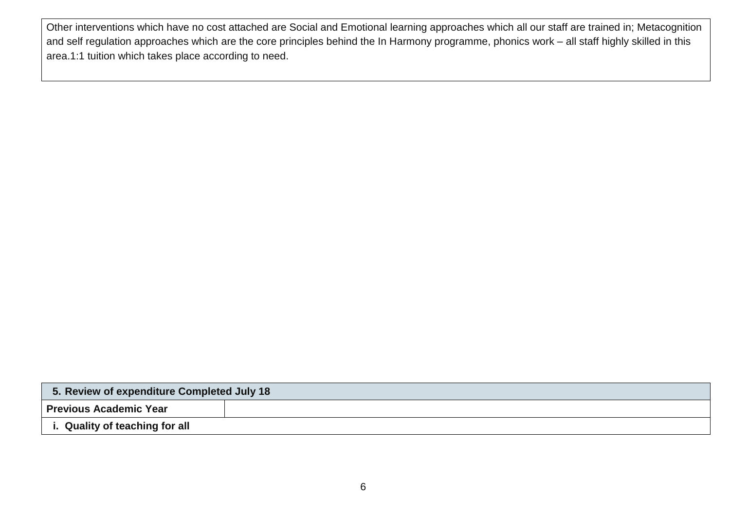Other interventions which have no cost attached are Social and Emotional learning approaches which all our staff are trained in; Metacognition and self regulation approaches which are the core principles behind the In Harmony programme, phonics work – all staff highly skilled in this area.1:1 tuition which takes place according to need.

| 5. Review of expenditure Completed July 18 |  |  |  |  |  |
|--------------------------------------------|--|--|--|--|--|
| <b>Previous Academic Year</b>              |  |  |  |  |  |
| i. Quality of teaching for all             |  |  |  |  |  |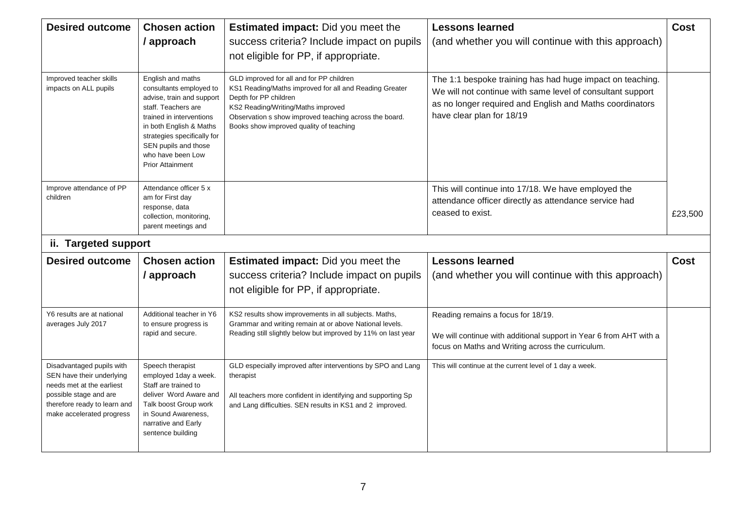| <b>Desired outcome</b>                                                                                                                                                     | <b>Chosen action</b><br>/ approach                                                                                                                                                                                                                             | <b>Estimated impact:</b> Did you meet the<br>success criteria? Include impact on pupils<br>not eligible for PP, if appropriate.                                                                                                                                        | <b>Lessons learned</b><br>(and whether you will continue with this approach)                                                                                                                                     | <b>Cost</b> |
|----------------------------------------------------------------------------------------------------------------------------------------------------------------------------|----------------------------------------------------------------------------------------------------------------------------------------------------------------------------------------------------------------------------------------------------------------|------------------------------------------------------------------------------------------------------------------------------------------------------------------------------------------------------------------------------------------------------------------------|------------------------------------------------------------------------------------------------------------------------------------------------------------------------------------------------------------------|-------------|
| Improved teacher skills<br>impacts on ALL pupils                                                                                                                           | English and maths<br>consultants employed to<br>advise, train and support<br>staff. Teachers are<br>trained in interventions<br>in both English & Maths<br>strategies specifically for<br>SEN pupils and those<br>who have been Low<br><b>Prior Attainment</b> | GLD improved for all and for PP children<br>KS1 Reading/Maths improved for all and Reading Greater<br>Depth for PP children<br>KS2 Reading/Writing/Maths improved<br>Observation s show improved teaching across the board.<br>Books show improved quality of teaching | The 1:1 bespoke training has had huge impact on teaching.<br>We will not continue with same level of consultant support<br>as no longer required and English and Maths coordinators<br>have clear plan for 18/19 |             |
| Improve attendance of PP<br>children                                                                                                                                       | Attendance officer 5 x<br>am for First day<br>response, data<br>collection, monitoring,<br>parent meetings and                                                                                                                                                 |                                                                                                                                                                                                                                                                        | This will continue into 17/18. We have employed the<br>attendance officer directly as attendance service had<br>ceased to exist.                                                                                 | £23,500     |
| ii. Targeted support                                                                                                                                                       |                                                                                                                                                                                                                                                                |                                                                                                                                                                                                                                                                        |                                                                                                                                                                                                                  |             |
| <b>Desired outcome</b>                                                                                                                                                     | <b>Chosen action</b>                                                                                                                                                                                                                                           | <b>Estimated impact:</b> Did you meet the                                                                                                                                                                                                                              | <b>Lessons learned</b>                                                                                                                                                                                           | <b>Cost</b> |
|                                                                                                                                                                            | / approach                                                                                                                                                                                                                                                     | success criteria? Include impact on pupils<br>not eligible for PP, if appropriate.                                                                                                                                                                                     | (and whether you will continue with this approach)                                                                                                                                                               |             |
| Y6 results are at national<br>averages July 2017                                                                                                                           | Additional teacher in Y6<br>to ensure progress is<br>rapid and secure.                                                                                                                                                                                         | KS2 results show improvements in all subjects. Maths,<br>Grammar and writing remain at or above National levels.<br>Reading still slightly below but improved by 11% on last year                                                                                      | Reading remains a focus for 18/19.<br>We will continue with additional support in Year 6 from AHT with a<br>focus on Maths and Writing across the curriculum.                                                    |             |
| Disadvantaged pupils with<br>SEN have their underlying<br>needs met at the earliest<br>possible stage and are<br>therefore ready to learn and<br>make accelerated progress | Speech therapist<br>employed 1day a week.<br>Staff are trained to<br>deliver Word Aware and<br>Talk boost Group work<br>in Sound Awareness,<br>narrative and Early<br>sentence building                                                                        | GLD especially improved after interventions by SPO and Lang<br>therapist<br>All teachers more confident in identifying and supporting Sp<br>and Lang difficulties. SEN results in KS1 and 2 improved.                                                                  | This will continue at the current level of 1 day a week.                                                                                                                                                         |             |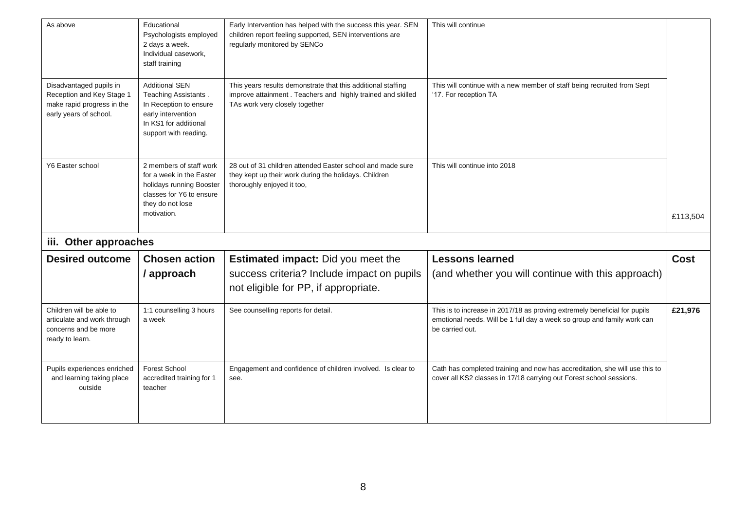| As above                                                                                                     | Educational<br>Psychologists employed<br>2 days a week.<br>Individual casework,<br>staff training                                               | Early Intervention has helped with the success this year. SEN<br>children report feeling supported, SEN interventions are<br>regularly monitored by SENCo     | This will continue                                                                                                                                                      |             |
|--------------------------------------------------------------------------------------------------------------|-------------------------------------------------------------------------------------------------------------------------------------------------|---------------------------------------------------------------------------------------------------------------------------------------------------------------|-------------------------------------------------------------------------------------------------------------------------------------------------------------------------|-------------|
| Disadvantaged pupils in<br>Reception and Key Stage 1<br>make rapid progress in the<br>early years of school. | <b>Additional SEN</b><br>Teaching Assistants.<br>In Reception to ensure<br>early intervention<br>In KS1 for additional<br>support with reading. | This years results demonstrate that this additional staffing<br>improve attainment. Teachers and highly trained and skilled<br>TAs work very closely together | This will continue with a new member of staff being recruited from Sept<br>'17. For reception TA                                                                        |             |
| Y6 Easter school                                                                                             | 2 members of staff work<br>for a week in the Easter<br>holidays running Booster<br>classes for Y6 to ensure<br>they do not lose                 | 28 out of 31 children attended Easter school and made sure<br>they kept up their work during the holidays. Children<br>thoroughly enjoyed it too,             | This will continue into 2018                                                                                                                                            |             |
|                                                                                                              | motivation.                                                                                                                                     |                                                                                                                                                               |                                                                                                                                                                         | £113,504    |
| iii. Other approaches                                                                                        |                                                                                                                                                 |                                                                                                                                                               |                                                                                                                                                                         |             |
| <b>Desired outcome</b>                                                                                       | <b>Chosen action</b>                                                                                                                            | <b>Estimated impact:</b> Did you meet the                                                                                                                     | <b>Lessons learned</b>                                                                                                                                                  | <b>Cost</b> |
|                                                                                                              | / approach                                                                                                                                      | success criteria? Include impact on pupils<br>not eligible for PP, if appropriate.                                                                            | (and whether you will continue with this approach)                                                                                                                      |             |
| Children will be able to<br>articulate and work through<br>concerns and be more<br>ready to learn.           | 1:1 counselling 3 hours<br>a week                                                                                                               | See counselling reports for detail.                                                                                                                           | This is to increase in 2017/18 as proving extremely beneficial for pupils<br>emotional needs. Will be 1 full day a week so group and family work can<br>be carried out. | £21,976     |
| Pupils experiences enriched<br>and learning taking place<br>outside                                          | Forest School<br>accredited training for 1<br>teacher                                                                                           | Engagement and confidence of children involved. Is clear to<br>see.                                                                                           | Cath has completed training and now has accreditation, she will use this to<br>cover all KS2 classes in 17/18 carrying out Forest school sessions.                      |             |